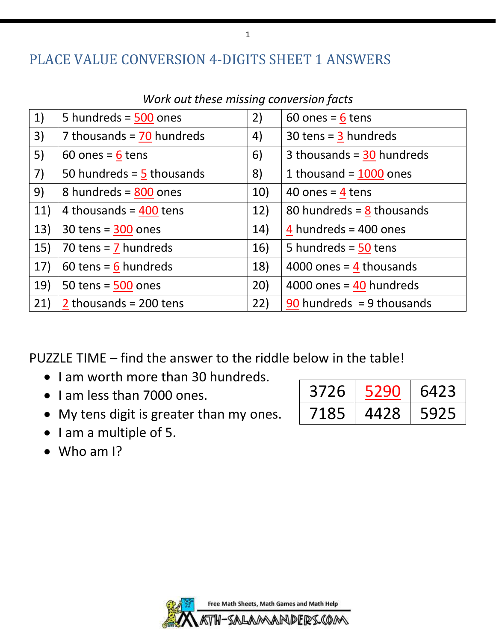#### PLACE VALUE CONVERSION 4-DIGITS SHEET 1 ANSWERS

| 1)  | 5 hundreds = $\frac{500}{2}$ ones     | 2)  | 60 ones = $6$ tens               |
|-----|---------------------------------------|-----|----------------------------------|
| 3)  | 7 thousands = $\frac{70}{2}$ hundreds | 4)  | 30 tens = $\frac{3}{2}$ hundreds |
| 5)  | 60 ones = $6$ tens                    | 6)  | 3 thousands = $30$ hundreds      |
| 7)  | 50 hundreds = $\frac{5}{2}$ thousands | 8)  | 1 thousand = $1000$ ones         |
| 9)  | 8 hundreds = $800$ ones               | 10) | 40 ones = $4$ tens               |
| 11) | 4 thousands = $400$ tens              | 12) | 80 hundreds = $8$ thousands      |
| 13) | 30 tens = $300$ ones                  | 14) | 4 hundreds = $400$ ones          |
| 15) | 70 tens = $7$ hundreds                | 16) | 5 hundreds = $50$ tens           |
| 17) | 60 tens = $6$ hundreds                | 18) | 4000 ones = $4$ thousands        |
| 19) | 50 tens = $500$ ones                  | 20) | 4000 ones = $40$ hundreds        |
| 21) | 2 thousands = $200$ tens              | 22) | $90$ hundreds = 9 thousands      |

*Work out these missing conversion facts*

PUZZLE TIME – find the answer to the riddle below in the table!

- I am worth more than 30 hundreds.
- I am less than 7000 ones.
- My tens digit is greater than my ones.
	-

3726 5290 6423 7185 4428 5925

- I am a multiple of 5.
- Who am I?

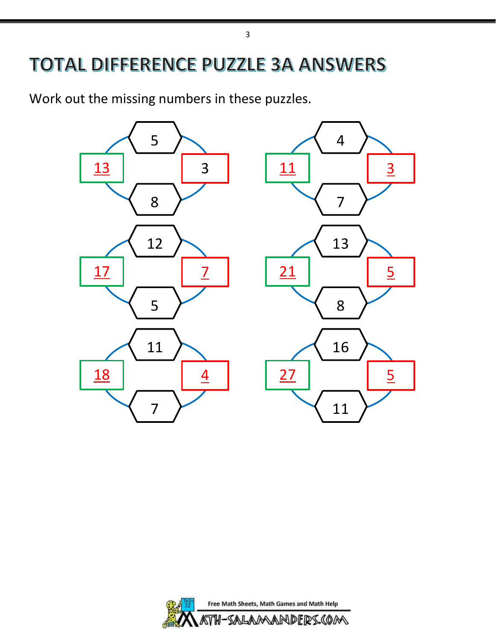# **TOTAL DIFFERENCE PUZZLE 3A ANSWERS**

Work out the missing numbers in these puzzles.



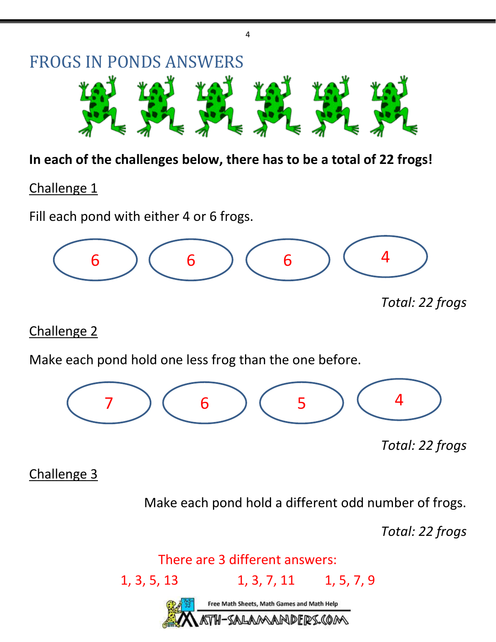

4

#### **In each of the challenges below, there has to be a total of 22 frogs!**

Challenge 1

Fill each pond with either 4 or 6 frogs.



Challenge 2

Make each pond hold one less frog than the one before.



*Total: 22 frogs*

Challenge 3

Make each pond hold a different odd number of frogs.

*Total: 22 frogs*

There are 3 different answers:

1, 3, 5, 13 1, 3, 7, 11 1, 5, 7, 9 Free Math Sheets, Math Games and Math Help SALAMANDERS.COM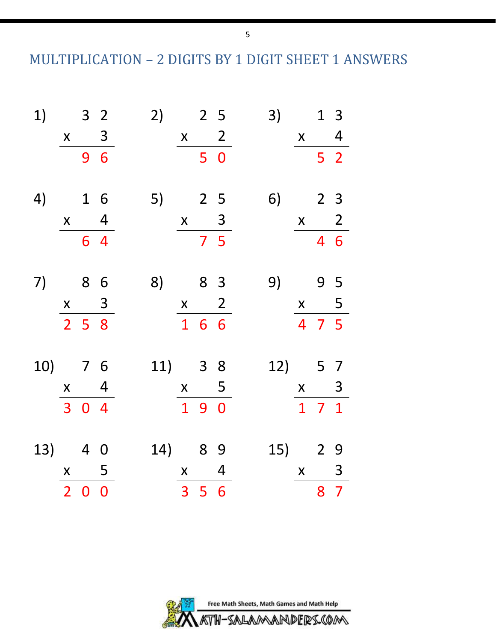MULTIPLICATION – 2 DIGITS BY 1 DIGIT SHEET 1 ANSWERS

| 1)              | 3               | 2               | 2   | 5 | 3) | 1   | 3 |   |
|-----------------|-----------------|-----------------|-----|---|----|-----|---|---|
| $\frac{x}{96}$  | $\frac{x}{50}$  | $\frac{x}{52}$  |     |   |    |     |   |   |
| 4)              | 1               | 6               | 5)  | 2 | 5  | 6)  | 2 | 3 |
| $\frac{x}{64}$  | $\frac{x}{75}$  | $\frac{x}{46}$  |     |   |    |     |   |   |
| 7)              | 8               | 6               | 8)  | 8 | 3  | 9)  | 9 | 5 |
| $\frac{x}{258}$ | $\frac{x}{166}$ | $\frac{x}{475}$ |     |   |    |     |   |   |
| 10)             | 7               | 6               | 11) | 3 | 8  | 12) | 5 | 7 |
| $\frac{x}{304}$ | $\frac{x}{190}$ | $\frac{x}{171}$ |     |   |    |     |   |   |
| 13)             | 4               | 0               | 14) | 8 | 9  | 15) | 2 | 9 |
| $\frac{x}{200}$ | $\frac{x}{356}$ | $\frac{x}{87}$  |     |   |    |     |   |   |

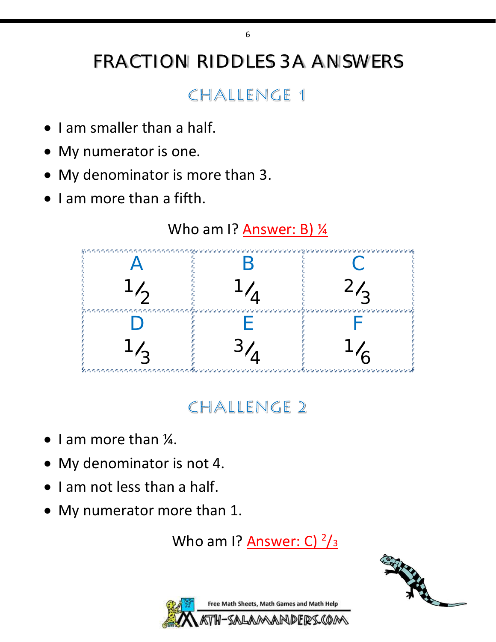# FRACTION RIDDLES 3A ANSWERS

6

### CHALLENGE 1

- I am smaller than a half.
- My numerator is one.
- My denominator is more than 3.
- I am more than a fifth.



## CHALLENGE 2

- I am more than ¼.
- My denominator is not 4.
- I am not less than a half.
- My numerator more than 1.

Who am I? <u>Answer: C) <sup>2</sup>/3</u>



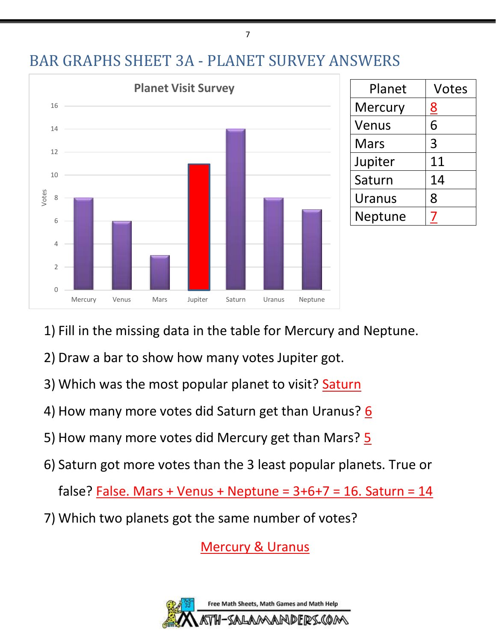



| Planet        | <b>Votes</b> |
|---------------|--------------|
| Mercury       | <u>8</u>     |
| Venus         | 6            |
| <b>Mars</b>   | 3            |
| Jupiter       | 11           |
| Saturn        | 14           |
| <b>Uranus</b> | 8            |
| Neptune       |              |

- 1) Fill in the missing data in the table for Mercury and Neptune.
- 2) Draw a bar to show how many votes Jupiter got.
- 3) Which was the most popular planet to visit? Saturn
- 4) How many more votes did Saturn get than Uranus? 6
- 5) How many more votes did Mercury get than Mars? 5
- 6) Saturn got more votes than the 3 least popular planets. True or

false? False. Mars + Venus + Neptune =  $3+6+7 = 16$ . Saturn =  $14$ 

7) Which two planets got the same number of votes?

Mercury & Uranus